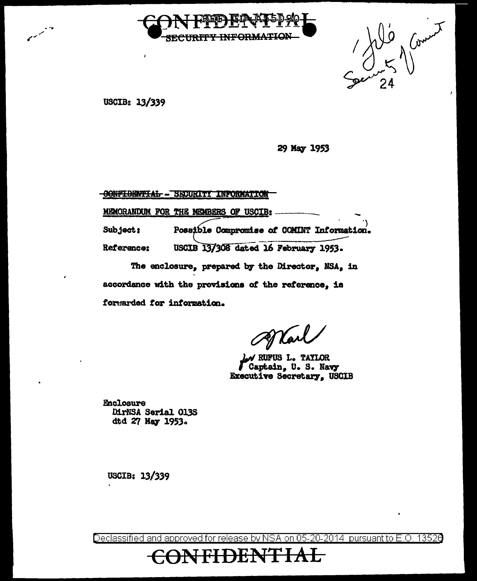

Se 11 Coment

USCIB: 13/339

29 May 1953

**CONFIDENTIAL - SECURITY INFORMATION** MEMORANDUM FOR THE MEMBERS OF USCIB: Possible Compromise of COMINT Information. Subject: USCIB 13/308 dated 16 February 1953. Reference: The enclosure, prepared by the Director, NSA, in

accordance with the provisions of the reference, is forwarded for information.

W RUFUS L. TAYLOR Captain, U.S. Navy Executive Secretary, USCIB

**Enclosure** DirNSA Serial 013S dtd 27 May 1953.

USCIB: 13/339

Declassified and approved for release by NSA on 05-20-2014 pursuant to E.O. 13526

<del>FIDENTIAL</del>